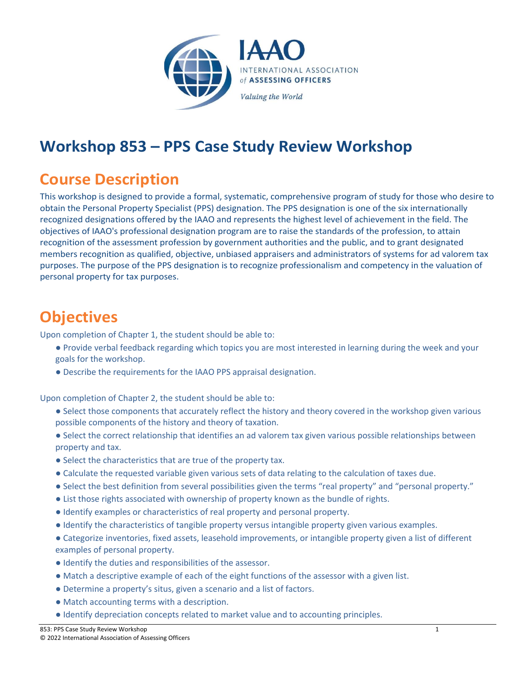

## **Workshop 853 – PPS Case Study Review Workshop**

## **Course Description**

This workshop is designed to provide a formal, systematic, comprehensive program of study for those who desire to obtain the Personal Property Specialist (PPS) designation. The PPS designation is one of the six internationally recognized designations offered by the IAAO and represents the highest level of achievement in the field. The objectives of IAAO's professional designation program are to raise the standards of the profession, to attain recognition of the assessment profession by government authorities and the public, and to grant designated members recognition as qualified, objective, unbiased appraisers and administrators of systems for ad valorem tax purposes. The purpose of the PPS designation is to recognize professionalism and competency in the valuation of personal property for tax purposes.

## **Objectives**

Upon completion of Chapter 1, the student should be able to:

- Provide verbal feedback regarding which topics you are most interested in learning during the week and your goals for the workshop.
- Describe the requirements for the IAAO PPS appraisal designation.

Upon completion of Chapter 2, the student should be able to:

- Select those components that accurately reflect the history and theory covered in the workshop given various possible components of the history and theory of taxation.
- Select the correct relationship that identifies an ad valorem tax given various possible relationships between property and tax.
- Select the characteristics that are true of the property tax.
- Calculate the requested variable given various sets of data relating to the calculation of taxes due.
- Select the best definition from several possibilities given the terms "real property" and "personal property."
- List those rights associated with ownership of property known as the bundle of rights.
- Identify examples or characteristics of real property and personal property.
- Identify the characteristics of tangible property versus intangible property given various examples.
- Categorize inventories, fixed assets, leasehold improvements, or intangible property given a list of different examples of personal property.
- Identify the duties and responsibilities of the assessor.
- Match a descriptive example of each of the eight functions of the assessor with a given list.
- Determine a property's situs, given a scenario and a list of factors.
- Match accounting terms with a description.
- Identify depreciation concepts related to market value and to accounting principles.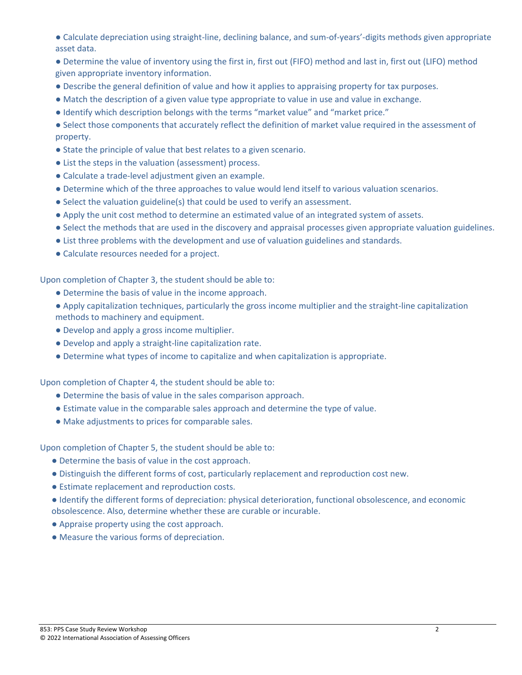- Calculate depreciation using straight-line, declining balance, and sum-of-years'-digits methods given appropriate asset data.
- Determine the value of inventory using the first in, first out (FIFO) method and last in, first out (LIFO) method given appropriate inventory information.
- Describe the general definition of value and how it applies to appraising property for tax purposes.
- Match the description of a given value type appropriate to value in use and value in exchange.
- Identify which description belongs with the terms "market value" and "market price."
- Select those components that accurately reflect the definition of market value required in the assessment of property.
- State the principle of value that best relates to a given scenario.
- List the steps in the valuation (assessment) process.
- Calculate a trade-level adjustment given an example.
- Determine which of the three approaches to value would lend itself to various valuation scenarios.
- Select the valuation guideline(s) that could be used to verify an assessment.
- Apply the unit cost method to determine an estimated value of an integrated system of assets.
- Select the methods that are used in the discovery and appraisal processes given appropriate valuation guidelines.
- List three problems with the development and use of valuation guidelines and standards.
- Calculate resources needed for a project.

Upon completion of Chapter 3, the student should be able to:

- Determine the basis of value in the income approach.
- Apply capitalization techniques, particularly the gross income multiplier and the straight-line capitalization methods to machinery and equipment.
- Develop and apply a gross income multiplier.
- Develop and apply a straight-line capitalization rate.
- Determine what types of income to capitalize and when capitalization is appropriate.

Upon completion of Chapter 4, the student should be able to:

- Determine the basis of value in the sales comparison approach.
- Estimate value in the comparable sales approach and determine the type of value.
- Make adjustments to prices for comparable sales.

Upon completion of Chapter 5, the student should be able to:

- Determine the basis of value in the cost approach.
- Distinguish the different forms of cost, particularly replacement and reproduction cost new.
- Estimate replacement and reproduction costs.
- Identify the different forms of depreciation: physical deterioration, functional obsolescence, and economic obsolescence. Also, determine whether these are curable or incurable.
- Appraise property using the cost approach.
- Measure the various forms of depreciation.